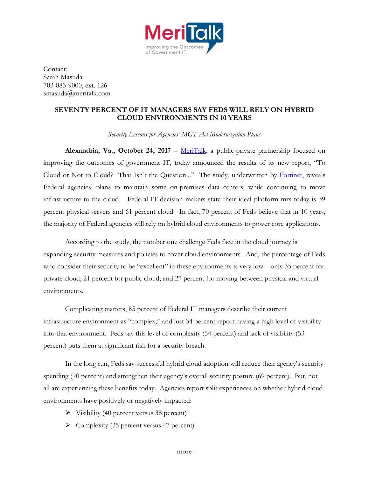

Contact: Sarah Masuda 703-883-9000, ext. 126 smasuda@meritalk.com

## **SEVENTY PERCENT OF IT MANAGERS SAY FEDS WILL RELY ON HYBRID CLOUD ENVIRONMENTS IN 10 YEARS**

*Security Lessons for Agencies' MGT Act Modernization Plans*

**Alexandria, Va., October 24, 2017** – [MeriTalk,](http://www.meritalk.com/) a public-private partnership focused on improving the outcomes of government IT, today announced the results of its new report, "To Cloud or Not to Cloud? That Isn't the Question..." The study, underwritten by [Fortinet,](https://www.fortinet.com/solutions/enterprise-midsize-business/hybrid-cloud-security.html) reveals Federal agencies' plans to maintain some on-premises data centers, while continuing to move infrastructure to the cloud – Federal IT decision makers state their ideal platform mix today is 39 percent physical servers and 61 percent cloud. In fact, 70 percent of Feds believe that in 10 years, the majority of Federal agencies will rely on hybrid cloud environments to power core applications.

According to the study, the number one challenge Feds face in the cloud journey is expanding security measures and policies to cover cloud environments. And, the percentage of Feds who consider their security to be "excellent" in these environments is very low – only 35 percent for private cloud; 21 percent for public cloud; and 27 percent for moving between physical and virtual environments.

Complicating matters, 85 percent of Federal IT managers describe their current infrastructure environment as "complex," and just 34 percent report having a high level of visibility into that environment. Feds say this level of complexity (54 percent) and lack of visibility (53 percent) puts them at significant risk for a security breach.

In the long run, Feds say successful hybrid cloud adoption will reduce their agency's security spending (70 percent) and strengthen their agency's overall security posture (69 percent). But, not all are experiencing these benefits today. Agencies report split experiences on whether hybrid cloud environments have positively or negatively impacted:

- $\triangleright$  Visibility (40 percent versus 38 percent)
- $\triangleright$  Complexity (35 percent versus 47 percent)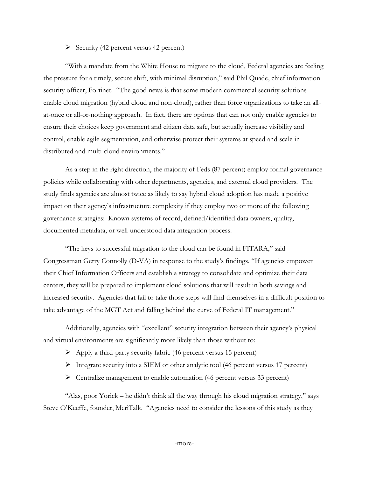## $\triangleright$  Security (42 percent versus 42 percent)

"With a mandate from the White House to migrate to the cloud, Federal agencies are feeling the pressure for a timely, secure shift, with minimal disruption," said Phil Quade, chief information security officer, Fortinet. "The good news is that some modern commercial security solutions enable cloud migration (hybrid cloud and non-cloud), rather than force organizations to take an allat-once or all-or-nothing approach. In fact, there are options that can not only enable agencies to ensure their choices keep government and citizen data safe, but actually increase visibility and control, enable agile segmentation, and otherwise protect their systems at speed and scale in distributed and multi-cloud environments."

As a step in the right direction, the majority of Feds (87 percent) employ formal governance policies while collaborating with other departments, agencies, and external cloud providers. The study finds agencies are almost twice as likely to say hybrid cloud adoption has made a positive impact on their agency's infrastructure complexity if they employ two or more of the following governance strategies: Known systems of record, defined/identified data owners, quality, documented metadata, or well-understood data integration process.

"The keys to successful migration to the cloud can be found in FITARA," said Congressman Gerry Connolly (D-VA) in response to the study's findings. "If agencies empower their Chief Information Officers and establish a strategy to consolidate and optimize their data centers, they will be prepared to implement cloud solutions that will result in both savings and increased security. Agencies that fail to take those steps will find themselves in a difficult position to take advantage of the MGT Act and falling behind the curve of Federal IT management."

Additionally, agencies with "excellent" security integration between their agency's physical and virtual environments are significantly more likely than those without to:

- $\triangleright$  Apply a third-party security fabric (46 percent versus 15 percent)
- $\triangleright$  Integrate security into a SIEM or other analytic tool (46 percent versus 17 percent)
- Centralize management to enable automation (46 percent versus 33 percent)

"Alas, poor Yorick – he didn't think all the way through his cloud migration strategy," says Steve O'Keeffe, founder, MeriTalk. "Agencies need to consider the lessons of this study as they